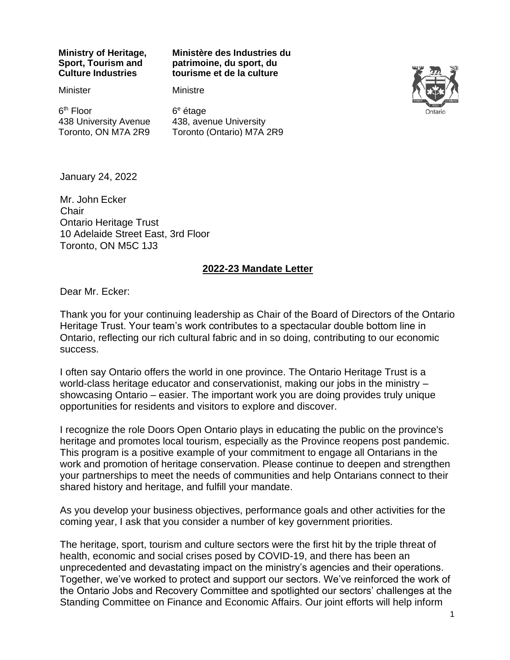#### **Ministry of Heritage, Sport, Tourism and Culture Industries**

#### **Ministère des Industries du patrimoine, du sport, du tourisme et de la culture**

**Minister** 

#### **Ministre**

6<sup>th</sup> Floor 438 University Avenue Toronto, ON M7A 2R9

6 <sup>e</sup> étage 438, avenue University Toronto (Ontario) M7A 2R9



January 24, 2022

Mr. John Ecker **Chair** Ontario Heritage Trust 10 Adelaide Street East, 3rd Floor Toronto, ON M5C 1J3

#### **2022-23 Mandate Letter**

Dear Mr. Ecker:

Thank you for your continuing leadership as Chair of the Board of Directors of the Ontario Heritage Trust. Your team's work contributes to a spectacular double bottom line in Ontario, reflecting our rich cultural fabric and in so doing, contributing to our economic success.

I often say Ontario offers the world in one province. The Ontario Heritage Trust is a world-class heritage educator and conservationist, making our jobs in the ministry – showcasing Ontario – easier. The important work you are doing provides truly unique opportunities for residents and visitors to explore and discover.

I recognize the role Doors Open Ontario plays in educating the public on the province's heritage and promotes local tourism, especially as the Province reopens post pandemic. This program is a positive example of your commitment to engage all Ontarians in the work and promotion of heritage conservation. Please continue to deepen and strengthen your partnerships to meet the needs of communities and help Ontarians connect to their shared history and heritage, and fulfill your mandate.

As you develop your business objectives, performance goals and other activities for the coming year, I ask that you consider a number of key government priorities.

The heritage, sport, tourism and culture sectors were the first hit by the triple threat of health, economic and social crises posed by COVID-19, and there has been an unprecedented and devastating impact on the ministry's agencies and their operations. Together, we've worked to protect and support our sectors. We've reinforced the work of the Ontario Jobs and Recovery Committee and spotlighted our sectors' challenges at the Standing Committee on Finance and Economic Affairs. Our joint efforts will help inform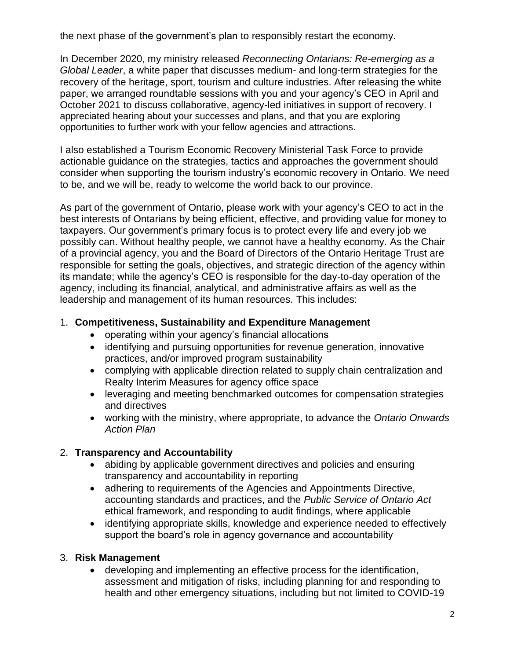the next phase of the government's plan to responsibly restart the economy.

In December 2020, my ministry released *Reconnecting Ontarians: Re-emerging as a Global Leader*, a white paper that discusses medium- and long-term strategies for the recovery of the heritage, sport, tourism and culture industries. After releasing the white paper, we arranged roundtable sessions with you and your agency's CEO in April and October 2021 to discuss collaborative, agency-led initiatives in support of recovery. I appreciated hearing about your successes and plans, and that you are exploring opportunities to further work with your fellow agencies and attractions.

I also established a Tourism Economic Recovery Ministerial Task Force to provide actionable guidance on the strategies, tactics and approaches the government should consider when supporting the tourism industry's economic recovery in Ontario. We need to be, and we will be, ready to welcome the world back to our province.

As part of the government of Ontario, please work with your agency's CEO to act in the best interests of Ontarians by being efficient, effective, and providing value for money to taxpayers. Our government's primary focus is to protect every life and every job we possibly can. Without healthy people, we cannot have a healthy economy. As the Chair of a provincial agency, you and the Board of Directors of the Ontario Heritage Trust are responsible for setting the goals, objectives, and strategic direction of the agency within its mandate; while the agency's CEO is responsible for the day-to-day operation of the agency, including its financial, analytical, and administrative affairs as well as the leadership and management of its human resources. This includes:

# 1. **Competitiveness, Sustainability and Expenditure Management**

- operating within your agency's financial allocations
- identifying and pursuing opportunities for revenue generation, innovative practices, and/or improved program sustainability
- complying with applicable direction related to supply chain centralization and Realty Interim Measures for agency office space
- leveraging and meeting benchmarked outcomes for compensation strategies and directives
- working with the ministry, where appropriate, to advance the *Ontario Onwards Action Plan*

# 2. **Transparency and Accountability**

- abiding by applicable government directives and policies and ensuring transparency and accountability in reporting
- adhering to requirements of the Agencies and Appointments Directive, accounting standards and practices, and the *Public Service of Ontario Act* ethical framework, and responding to audit findings, where applicable
- identifying appropriate skills, knowledge and experience needed to effectively support the board's role in agency governance and accountability

# 3. **Risk Management**

• developing and implementing an effective process for the identification, assessment and mitigation of risks, including planning for and responding to health and other emergency situations, including but not limited to COVID-19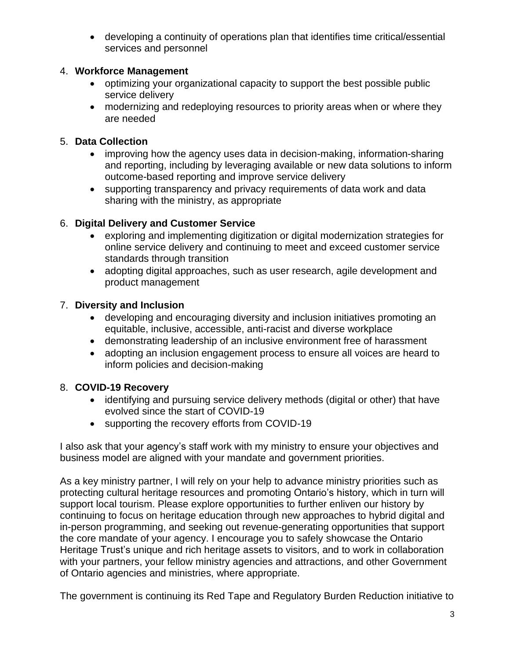• developing a continuity of operations plan that identifies time critical/essential services and personnel

# 4. **Workforce Management**

- optimizing your organizational capacity to support the best possible public service delivery
- modernizing and redeploying resources to priority areas when or where they are needed

#### 5. **Data Collection**

- improving how the agency uses data in decision-making, information-sharing and reporting, including by leveraging available or new data solutions to inform outcome-based reporting and improve service delivery
- supporting transparency and privacy requirements of data work and data sharing with the ministry, as appropriate

# 6. **Digital Delivery and Customer Service**

- exploring and implementing digitization or digital modernization strategies for online service delivery and continuing to meet and exceed customer service standards through transition
- adopting digital approaches, such as user research, agile development and product management

# 7. **Diversity and Inclusion**

- developing and encouraging diversity and inclusion initiatives promoting an equitable, inclusive, accessible, anti-racist and diverse workplace
- demonstrating leadership of an inclusive environment free of harassment
- adopting an inclusion engagement process to ensure all voices are heard to inform policies and decision-making

# 8. **COVID-19 Recovery**

- identifying and pursuing service delivery methods (digital or other) that have evolved since the start of COVID-19
- supporting the recovery efforts from COVID-19

I also ask that your agency's staff work with my ministry to ensure your objectives and business model are aligned with your mandate and government priorities.

As a key ministry partner, I will rely on your help to advance ministry priorities such as protecting cultural heritage resources and promoting Ontario's history, which in turn will support local tourism. Please explore opportunities to further enliven our history by continuing to focus on heritage education through new approaches to hybrid digital and in-person programming, and seeking out revenue-generating opportunities that support the core mandate of your agency. I encourage you to safely showcase the Ontario Heritage Trust's unique and rich heritage assets to visitors, and to work in collaboration with your partners, your fellow ministry agencies and attractions, and other Government of Ontario agencies and ministries, where appropriate.

The government is continuing its Red Tape and Regulatory Burden Reduction initiative to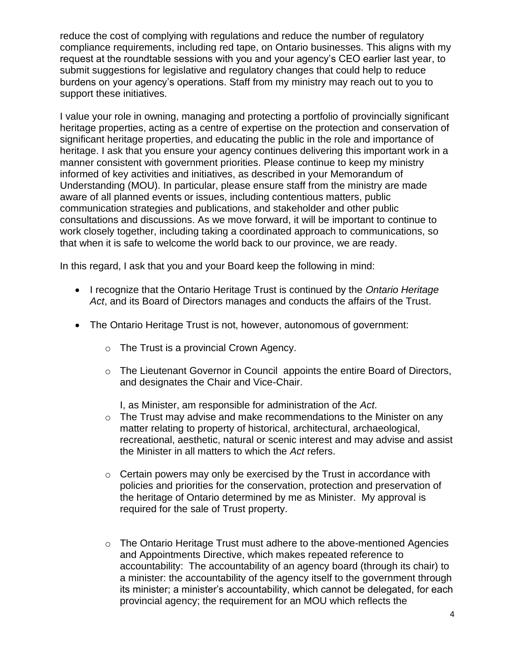reduce the cost of complying with regulations and reduce the number of regulatory compliance requirements, including red tape, on Ontario businesses. This aligns with my request at the roundtable sessions with you and your agency's CEO earlier last year, to submit suggestions for legislative and regulatory changes that could help to reduce burdens on your agency's operations. Staff from my ministry may reach out to you to support these initiatives.

I value your role in owning, managing and protecting a portfolio of provincially significant heritage properties, acting as a centre of expertise on the protection and conservation of significant heritage properties, and educating the public in the role and importance of heritage. I ask that you ensure your agency continues delivering this important work in a manner consistent with government priorities. Please continue to keep my ministry informed of key activities and initiatives, as described in your Memorandum of Understanding (MOU). In particular, please ensure staff from the ministry are made aware of all planned events or issues, including contentious matters, public communication strategies and publications, and stakeholder and other public consultations and discussions. As we move forward, it will be important to continue to work closely together, including taking a coordinated approach to communications, so that when it is safe to welcome the world back to our province, we are ready.

In this regard, I ask that you and your Board keep the following in mind:

- I recognize that the Ontario Heritage Trust is continued by the *Ontario Heritage Act*, and its Board of Directors manages and conducts the affairs of the Trust.
- The Ontario Heritage Trust is not, however, autonomous of government:
	- o The Trust is a provincial Crown Agency.
	- o The Lieutenant Governor in Council appoints the entire Board of Directors, and designates the Chair and Vice-Chair.

I, as Minister, am responsible for administration of the *Act*.

- $\circ$  The Trust may advise and make recommendations to the Minister on any matter relating to property of historical, architectural, archaeological, recreational, aesthetic, natural or scenic interest and may advise and assist the Minister in all matters to which the *Act* refers.
- $\circ$  Certain powers may only be exercised by the Trust in accordance with policies and priorities for the conservation, protection and preservation of the heritage of Ontario determined by me as Minister. My approval is required for the sale of Trust property.
- $\circ$  The Ontario Heritage Trust must adhere to the above-mentioned Agencies and Appointments Directive, which makes repeated reference to accountability: The accountability of an agency board (through its chair) to a minister: the accountability of the agency itself to the government through its minister; a minister's accountability, which cannot be delegated, for each provincial agency; the requirement for an MOU which reflects the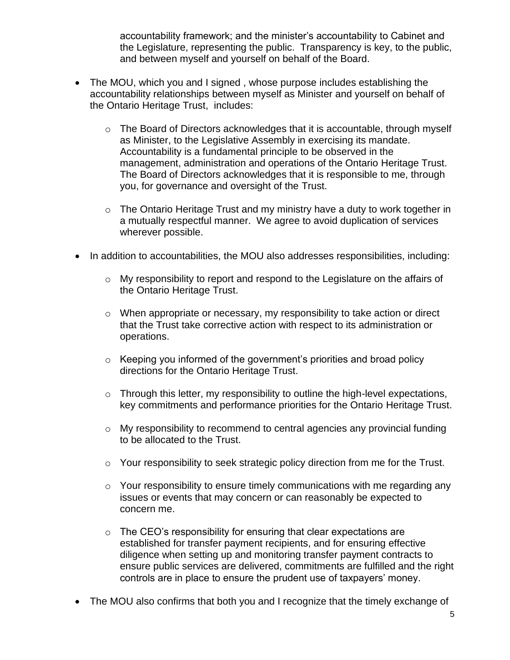accountability framework; and the minister's accountability to Cabinet and the Legislature, representing the public. Transparency is key, to the public, and between myself and yourself on behalf of the Board.

- The MOU, which you and I signed , whose purpose includes establishing the accountability relationships between myself as Minister and yourself on behalf of the Ontario Heritage Trust, includes:
	- o The Board of Directors acknowledges that it is accountable, through myself as Minister, to the Legislative Assembly in exercising its mandate. Accountability is a fundamental principle to be observed in the management, administration and operations of the Ontario Heritage Trust. The Board of Directors acknowledges that it is responsible to me, through you, for governance and oversight of the Trust.
	- $\circ$  The Ontario Heritage Trust and my ministry have a duty to work together in a mutually respectful manner. We agree to avoid duplication of services wherever possible.
- In addition to accountabilities, the MOU also addresses responsibilities, including:
	- o My responsibility to report and respond to the Legislature on the affairs of the Ontario Heritage Trust.
	- o When appropriate or necessary, my responsibility to take action or direct that the Trust take corrective action with respect to its administration or operations.
	- $\circ$  Keeping you informed of the government's priorities and broad policy directions for the Ontario Heritage Trust.
	- $\circ$  Through this letter, my responsibility to outline the high-level expectations, key commitments and performance priorities for the Ontario Heritage Trust.
	- $\circ$  My responsibility to recommend to central agencies any provincial funding to be allocated to the Trust.
	- o Your responsibility to seek strategic policy direction from me for the Trust.
	- o Your responsibility to ensure timely communications with me regarding any issues or events that may concern or can reasonably be expected to concern me.
	- $\circ$  The CEO's responsibility for ensuring that clear expectations are established for transfer payment recipients, and for ensuring effective diligence when setting up and monitoring transfer payment contracts to ensure public services are delivered, commitments are fulfilled and the right controls are in place to ensure the prudent use of taxpayers' money.
- The MOU also confirms that both you and I recognize that the timely exchange of